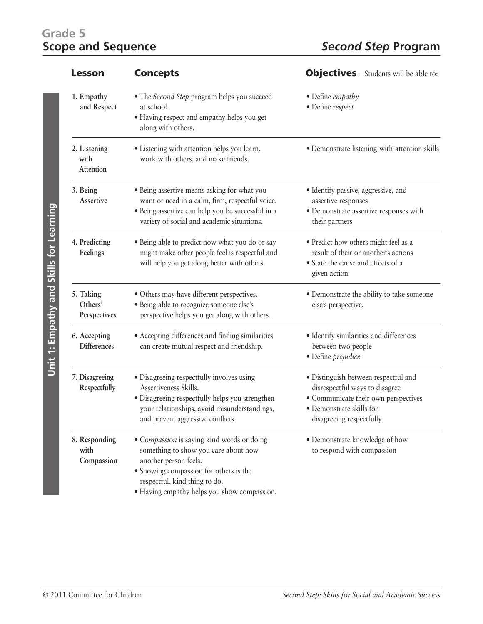## Grade 5<br>**Scope and Sequence**

| <b>Lesson</b>                        | <b>Concepts</b>                                                                                                                                                                                                                       | <b>Objectives</b> —Students will be able to:                                                                                                                           |
|--------------------------------------|---------------------------------------------------------------------------------------------------------------------------------------------------------------------------------------------------------------------------------------|------------------------------------------------------------------------------------------------------------------------------------------------------------------------|
| 1. Empathy<br>and Respect            | • The Second Step program helps you succeed<br>at school.<br>• Having respect and empathy helps you get<br>along with others.                                                                                                         | • Define empathy<br>· Define respect                                                                                                                                   |
| 2. Listening<br>with<br>Attention    | · Listening with attention helps you learn,<br>work with others, and make friends.                                                                                                                                                    | · Demonstrate listening-with-attention skills                                                                                                                          |
| 3. Being<br>Assertive                | · Being assertive means asking for what you<br>want or need in a calm, firm, respectful voice.<br>· Being assertive can help you be successful in a<br>variety of social and academic situations.                                     | · Identify passive, aggressive, and<br>assertive responses<br>· Demonstrate assertive responses with<br>their partners                                                 |
| 4. Predicting<br>Feelings            | • Being able to predict how what you do or say<br>might make other people feel is respectful and<br>will help you get along better with others.                                                                                       | · Predict how others might feel as a<br>result of their or another's actions<br>• State the cause and effects of a<br>given action                                     |
| 5. Taking<br>Others'<br>Perspectives | • Others may have different perspectives.<br>· Being able to recognize someone else's<br>perspective helps you get along with others.                                                                                                 | · Demonstrate the ability to take someone<br>else's perspective.                                                                                                       |
| 6. Accepting<br>Differences          | • Accepting differences and finding similarities<br>can create mutual respect and friendship.                                                                                                                                         | · Identify similarities and differences<br>between two people<br>· Define prejudice                                                                                    |
| 7. Disagreeing<br>Respectfully       | · Disagreeing respectfully involves using<br>Assertiveness Skills.<br>· Disagreeing respectfully helps you strengthen<br>your relationships, avoid misunderstandings,<br>and prevent aggressive conflicts.                            | · Distinguish between respectful and<br>disrespectful ways to disagree<br>· Communicate their own perspectives<br>· Demonstrate skills for<br>disagreeing respectfully |
| 8. Responding<br>with<br>Compassion  | • Compassion is saying kind words or doing<br>something to show you care about how<br>another person feels.<br>· Showing compassion for others is the<br>respectful, kind thing to do.<br>• Having empathy helps you show compassion. | • Demonstrate knowledge of how<br>to respond with compassion                                                                                                           |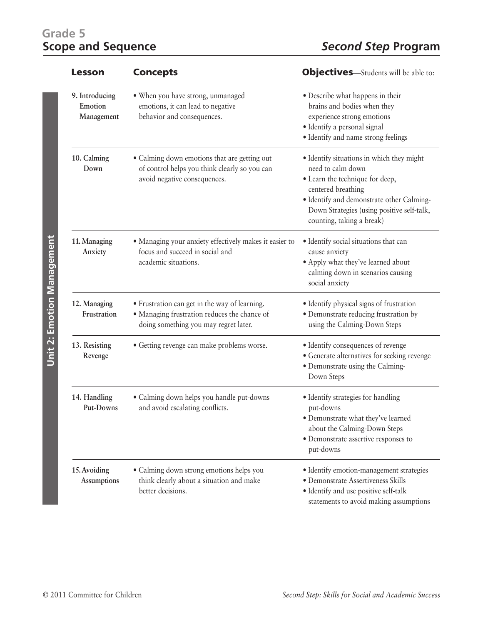## Grade 5<br>**Scope and Sequence**

| <b>Lesson</b>                           | <b>Concepts</b>                                                                                                                        | <b>Objectives</b> —Students will be able to:                                                                                                                                                                                                    |
|-----------------------------------------|----------------------------------------------------------------------------------------------------------------------------------------|-------------------------------------------------------------------------------------------------------------------------------------------------------------------------------------------------------------------------------------------------|
| 9. Introducing<br>Emotion<br>Management | . When you have strong, unmanaged<br>emotions, it can lead to negative<br>behavior and consequences.                                   | • Describe what happens in their<br>brains and bodies when they<br>experience strong emotions<br>· Identify a personal signal<br>· Identify and name strong feelings                                                                            |
| 10. Calming<br>Down                     | • Calming down emotions that are getting out<br>of control helps you think clearly so you can<br>avoid negative consequences.          | · Identify situations in which they might<br>need to calm down<br>· Learn the technique for deep,<br>centered breathing<br>· Identify and demonstrate other Calming-<br>Down Strategies (using positive self-talk,<br>counting, taking a break) |
| 11. Managing<br>Anxiety                 | • Managing your anxiety effectively makes it easier to<br>focus and succeed in social and<br>academic situations.                      | · Identify social situations that can<br>cause anxiety<br>• Apply what they've learned about<br>calming down in scenarios causing<br>social anxiety                                                                                             |
| 12. Managing<br>Frustration             | • Frustration can get in the way of learning.<br>· Managing frustration reduces the chance of<br>doing something you may regret later. | · Identify physical signs of frustration<br>· Demonstrate reducing frustration by<br>using the Calming-Down Steps                                                                                                                               |
| 13. Resisting<br>Revenge                | • Getting revenge can make problems worse.                                                                                             | • Identify consequences of revenge<br>• Generate alternatives for seeking revenge<br>· Demonstrate using the Calming-<br>Down Steps                                                                                                             |
| 14. Handling<br>Put-Downs               | • Calming down helps you handle put-downs<br>and avoid escalating conflicts.                                                           | • Identify strategies for handling<br>put-downs<br>• Demonstrate what they've learned<br>about the Calming-Down Steps<br>· Demonstrate assertive responses to<br>put-downs                                                                      |
| 15. Avoiding<br><b>Assumptions</b>      | • Calming down strong emotions helps you<br>think clearly about a situation and make<br>better decisions.                              | · Identify emotion-management strategies<br>· Demonstrate Assertiveness Skills<br>· Identify and use positive self-talk<br>statements to avoid making assumptions                                                                               |